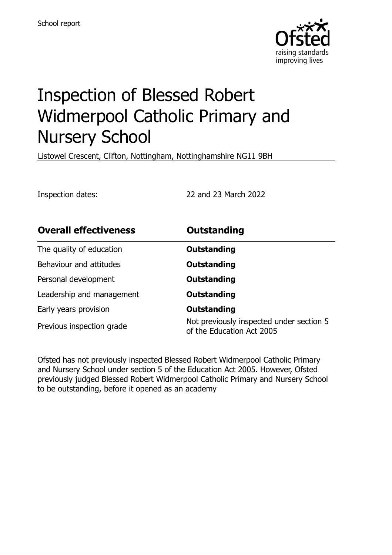

# Inspection of Blessed Robert Widmerpool Catholic Primary and Nursery School

Listowel Crescent, Clifton, Nottingham, Nottinghamshire NG11 9BH

Inspection dates: 22 and 23 March 2022

| <b>Overall effectiveness</b> | <b>Outstanding</b>                                                    |
|------------------------------|-----------------------------------------------------------------------|
| The quality of education     | Outstanding                                                           |
| Behaviour and attitudes      | <b>Outstanding</b>                                                    |
| Personal development         | <b>Outstanding</b>                                                    |
| Leadership and management    | <b>Outstanding</b>                                                    |
| Early years provision        | <b>Outstanding</b>                                                    |
| Previous inspection grade    | Not previously inspected under section 5<br>of the Education Act 2005 |

Ofsted has not previously inspected Blessed Robert Widmerpool Catholic Primary and Nursery School under section 5 of the Education Act 2005. However, Ofsted previously judged Blessed Robert Widmerpool Catholic Primary and Nursery School to be outstanding, before it opened as an academy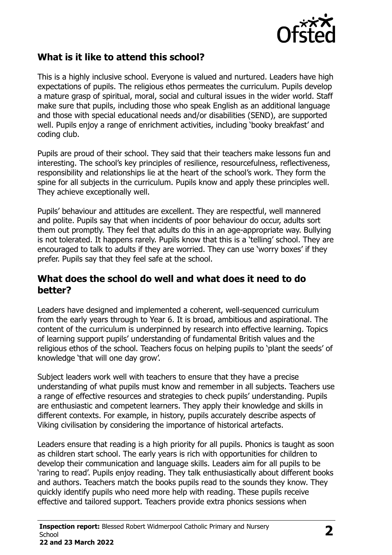

# **What is it like to attend this school?**

This is a highly inclusive school. Everyone is valued and nurtured. Leaders have high expectations of pupils. The religious ethos permeates the curriculum. Pupils develop a mature grasp of spiritual, moral, social and cultural issues in the wider world. Staff make sure that pupils, including those who speak English as an additional language and those with special educational needs and/or disabilities (SEND), are supported well. Pupils enjoy a range of enrichment activities, including 'booky breakfast' and coding club.

Pupils are proud of their school. They said that their teachers make lessons fun and interesting. The school's key principles of resilience, resourcefulness, reflectiveness, responsibility and relationships lie at the heart of the school's work. They form the spine for all subjects in the curriculum. Pupils know and apply these principles well. They achieve exceptionally well.

Pupils' behaviour and attitudes are excellent. They are respectful, well mannered and polite. Pupils say that when incidents of poor behaviour do occur, adults sort them out promptly. They feel that adults do this in an age-appropriate way. Bullying is not tolerated. It happens rarely. Pupils know that this is a 'telling' school. They are encouraged to talk to adults if they are worried. They can use 'worry boxes' if they prefer. Pupils say that they feel safe at the school.

#### **What does the school do well and what does it need to do better?**

Leaders have designed and implemented a coherent, well-sequenced curriculum from the early years through to Year 6. It is broad, ambitious and aspirational. The content of the curriculum is underpinned by research into effective learning. Topics of learning support pupils' understanding of fundamental British values and the religious ethos of the school. Teachers focus on helping pupils to 'plant the seeds' of knowledge 'that will one day grow'.

Subject leaders work well with teachers to ensure that they have a precise understanding of what pupils must know and remember in all subjects. Teachers use a range of effective resources and strategies to check pupils' understanding. Pupils are enthusiastic and competent learners. They apply their knowledge and skills in different contexts. For example, in history, pupils accurately describe aspects of Viking civilisation by considering the importance of historical artefacts.

Leaders ensure that reading is a high priority for all pupils. Phonics is taught as soon as children start school. The early years is rich with opportunities for children to develop their communication and language skills. Leaders aim for all pupils to be 'raring to read'. Pupils enjoy reading. They talk enthusiastically about different books and authors. Teachers match the books pupils read to the sounds they know. They quickly identify pupils who need more help with reading. These pupils receive effective and tailored support. Teachers provide extra phonics sessions when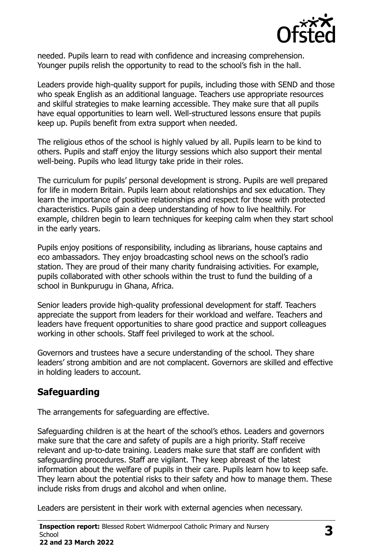

needed. Pupils learn to read with confidence and increasing comprehension. Younger pupils relish the opportunity to read to the school's fish in the hall.

Leaders provide high-quality support for pupils, including those with SEND and those who speak English as an additional language. Teachers use appropriate resources and skilful strategies to make learning accessible. They make sure that all pupils have equal opportunities to learn well. Well-structured lessons ensure that pupils keep up. Pupils benefit from extra support when needed.

The religious ethos of the school is highly valued by all. Pupils learn to be kind to others. Pupils and staff enjoy the liturgy sessions which also support their mental well-being. Pupils who lead liturgy take pride in their roles.

The curriculum for pupils' personal development is strong. Pupils are well prepared for life in modern Britain. Pupils learn about relationships and sex education. They learn the importance of positive relationships and respect for those with protected characteristics. Pupils gain a deep understanding of how to live healthily. For example, children begin to learn techniques for keeping calm when they start school in the early years.

Pupils enjoy positions of responsibility, including as librarians, house captains and eco ambassadors. They enjoy broadcasting school news on the school's radio station. They are proud of their many charity fundraising activities. For example, pupils collaborated with other schools within the trust to fund the building of a school in Bunkpurugu in Ghana, Africa.

Senior leaders provide high-quality professional development for staff. Teachers appreciate the support from leaders for their workload and welfare. Teachers and leaders have frequent opportunities to share good practice and support colleagues working in other schools. Staff feel privileged to work at the school.

Governors and trustees have a secure understanding of the school. They share leaders' strong ambition and are not complacent. Governors are skilled and effective in holding leaders to account.

# **Safeguarding**

The arrangements for safeguarding are effective.

Safeguarding children is at the heart of the school's ethos. Leaders and governors make sure that the care and safety of pupils are a high priority. Staff receive relevant and up-to-date training. Leaders make sure that staff are confident with safeguarding procedures. Staff are vigilant. They keep abreast of the latest information about the welfare of pupils in their care. Pupils learn how to keep safe. They learn about the potential risks to their safety and how to manage them. These include risks from drugs and alcohol and when online.

Leaders are persistent in their work with external agencies when necessary.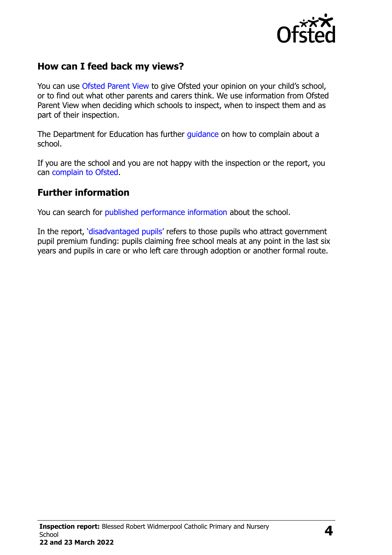

# **How can I feed back my views?**

You can use [Ofsted Parent View](http://parentview.ofsted.gov.uk/) to give Ofsted your opinion on your child's school, or to find out what other parents and carers think. We use information from Ofsted Parent View when deciding which schools to inspect, when to inspect them and as part of their inspection.

The Department for Education has further *quidance* on how to complain about a school.

If you are the school and you are not happy with the inspection or the report, you can [complain to Ofsted.](http://www.gov.uk/complain-ofsted-report)

### **Further information**

You can search for [published performance information](http://www.compare-school-performance.service.gov.uk/) about the school.

In the report, '[disadvantaged pupils](http://www.gov.uk/guidance/pupil-premium-information-for-schools-and-alternative-provision-settings)' refers to those pupils who attract government pupil premium funding: pupils claiming free school meals at any point in the last six years and pupils in care or who left care through adoption or another formal route.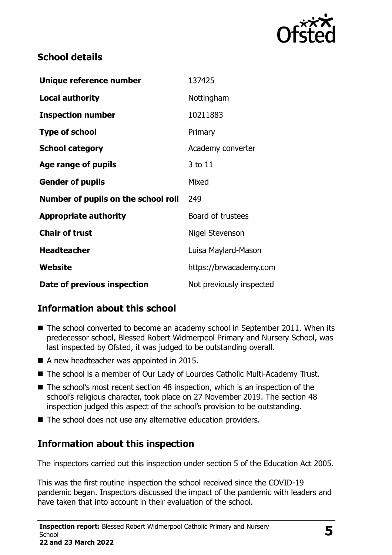

# **School details**

| Unique reference number             | 137425                   |
|-------------------------------------|--------------------------|
| <b>Local authority</b>              | Nottingham               |
| <b>Inspection number</b>            | 10211883                 |
| <b>Type of school</b>               | Primary                  |
| <b>School category</b>              | Academy converter        |
| Age range of pupils                 | 3 to 11                  |
| <b>Gender of pupils</b>             | Mixed                    |
| Number of pupils on the school roll | 249                      |
| <b>Appropriate authority</b>        | Board of trustees        |
| <b>Chair of trust</b>               | Nigel Stevenson          |
| <b>Headteacher</b>                  | Luisa Maylard-Mason      |
| Website                             | https://brwacademy.com   |
| Date of previous inspection         | Not previously inspected |

# **Information about this school**

- The school converted to become an academy school in September 2011. When its predecessor school, Blessed Robert Widmerpool Primary and Nursery School, was last inspected by Ofsted, it was judged to be outstanding overall.
- A new headteacher was appointed in 2015.
- The school is a member of Our Lady of Lourdes Catholic Multi-Academy Trust.
- The school's most recent section 48 inspection, which is an inspection of the school's religious character, took place on 27 November 2019. The section 48 inspection judged this aspect of the school's provision to be outstanding.
- $\blacksquare$  The school does not use any alternative education providers.

# **Information about this inspection**

The inspectors carried out this inspection under section 5 of the Education Act 2005.

This was the first routine inspection the school received since the COVID-19 pandemic began. Inspectors discussed the impact of the pandemic with leaders and have taken that into account in their evaluation of the school.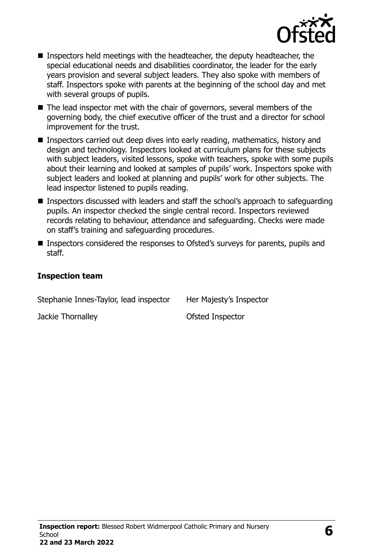

- Inspectors held meetings with the headteacher, the deputy headteacher, the special educational needs and disabilities coordinator, the leader for the early years provision and several subject leaders. They also spoke with members of staff. Inspectors spoke with parents at the beginning of the school day and met with several groups of pupils.
- The lead inspector met with the chair of governors, several members of the governing body, the chief executive officer of the trust and a director for school improvement for the trust.
- Inspectors carried out deep dives into early reading, mathematics, history and design and technology. Inspectors looked at curriculum plans for these subjects with subject leaders, visited lessons, spoke with teachers, spoke with some pupils about their learning and looked at samples of pupils' work. Inspectors spoke with subject leaders and looked at planning and pupils' work for other subjects. The lead inspector listened to pupils reading.
- Inspectors discussed with leaders and staff the school's approach to safeguarding pupils. An inspector checked the single central record. Inspectors reviewed records relating to behaviour, attendance and safeguarding. Checks were made on staff's training and safeguarding procedures.
- Inspectors considered the responses to Ofsted's surveys for parents, pupils and staff.

#### **Inspection team**

| Stephanie Innes-Taylor, lead inspector | Her Majesty's Inspector |
|----------------------------------------|-------------------------|
| Jackie Thornalley                      | Ofsted Inspector        |